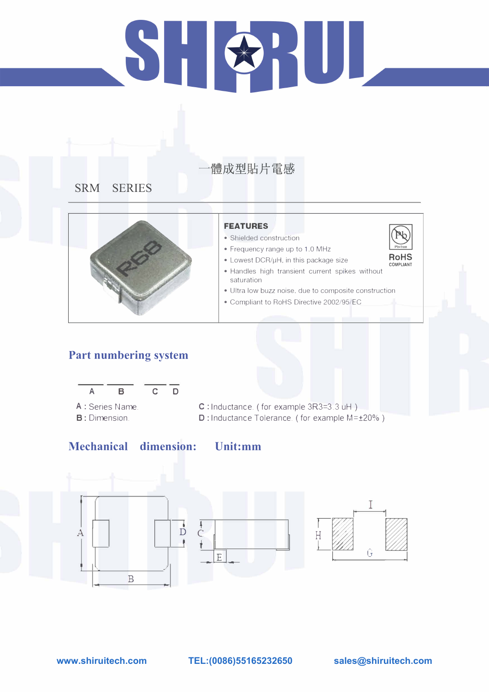# 51

# 體成型貼片電感

**SRM SERIES** 



#### **Part numbering system**



"\



#### **FEATURES**

- Shielded construction
- Frequency range up to 1.0 MHz

• Lowest DCR/µH, in this package size

- A : Series Name. **B: Dimension.**
- C : Inductance. ( for example 3R3=3 .3 uH ) **D:** Inductance Tolerance. ( for example M=±20%)

#### **Mechanical dimension: Unit:mm**



- Handles high transient current spikes without saturation
- Ultra low buzz noise. due to composite construction
- Compliant to RoHS Directive 2002/95/EC

**www.shiruitech.com TEL:(0086)55165232650 sales@shiruitech.com**

I